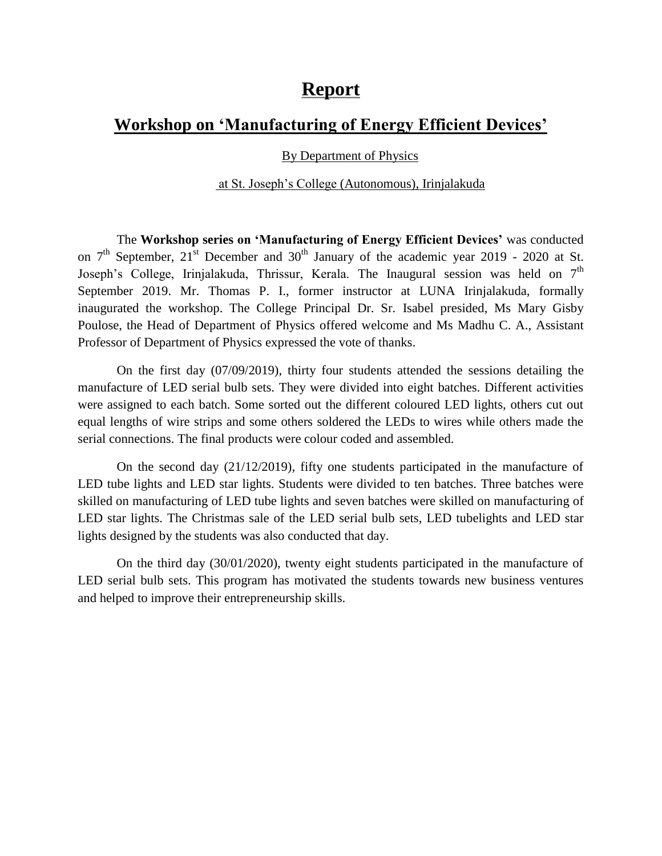## **Report**

## **Workshop on 'Manufacturing of Energy Efficient Devices'**

## By Department of Physics

## at St. Joseph's College (Autonomous), Irinjalakuda

The **Workshop series on 'Manufacturing of Energy Efficient Devices'** was conducted on  $7<sup>th</sup>$  September,  $21<sup>st</sup>$  December and  $30<sup>th</sup>$  January of the academic year 2019 - 2020 at St. Joseph's College, Irinjalakuda, Thrissur, Kerala. The Inaugural session was held on  $7<sup>th</sup>$ September 2019. Mr. Thomas P. I., former instructor at LUNA Irinjalakuda, formally inaugurated the workshop. The College Principal Dr. Sr. Isabel presided, Ms Mary Gisby Poulose, the Head of Department of Physics offered welcome and Ms Madhu C. A., Assistant Professor of Department of Physics expressed the vote of thanks.

On the first day (07/09/2019), thirty four students attended the sessions detailing the manufacture of LED serial bulb sets. They were divided into eight batches. Different activities were assigned to each batch. Some sorted out the different coloured LED lights, others cut out equal lengths of wire strips and some others soldered the LEDs to wires while others made the serial connections. The final products were colour coded and assembled.

On the second day (21/12/2019), fifty one students participated in the manufacture of LED tube lights and LED star lights. Students were divided to ten batches. Three batches were skilled on manufacturing of LED tube lights and seven batches were skilled on manufacturing of LED star lights. The Christmas sale of the LED serial bulb sets, LED tubelights and LED star lights designed by the students was also conducted that day.

On the third day (30/01/2020), twenty eight students participated in the manufacture of LED serial bulb sets. This program has motivated the students towards new business ventures and helped to improve their entrepreneurship skills.